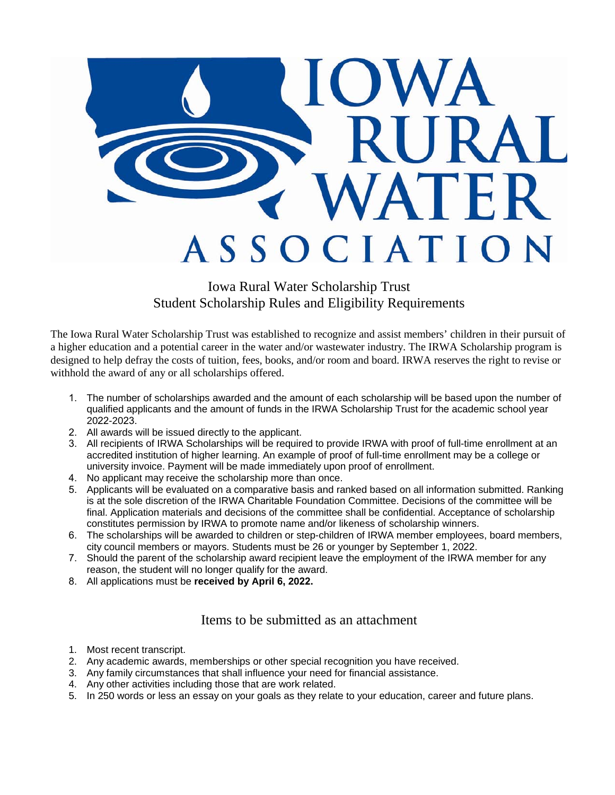

## Iowa Rural Water Scholarship Trust Student Scholarship Rules and Eligibility Requirements

The Iowa Rural Water Scholarship Trust was established to recognize and assist members' children in their pursuit of a higher education and a potential career in the water and/or wastewater industry. The IRWA Scholarship program is designed to help defray the costs of tuition, fees, books, and/or room and board. IRWA reserves the right to revise or withhold the award of any or all scholarships offered.

- 1. The number of scholarships awarded and the amount of each scholarship will be based upon the number of qualified applicants and the amount of funds in the IRWA Scholarship Trust for the academic school year 2022-2023.
- 2. All awards will be issued directly to the applicant.
- 3. All recipients of IRWA Scholarships will be required to provide IRWA with proof of full-time enrollment at an accredited institution of higher learning. An example of proof of full-time enrollment may be a college or university invoice. Payment will be made immediately upon proof of enrollment.
- 4. No applicant may receive the scholarship more than once.
- 5. Applicants will be evaluated on a comparative basis and ranked based on all information submitted. Ranking is at the sole discretion of the IRWA Charitable Foundation Committee. Decisions of the committee will be final. Application materials and decisions of the committee shall be confidential. Acceptance of scholarship constitutes permission by IRWA to promote name and/or likeness of scholarship winners.
- 6. The scholarships will be awarded to children or step-children of IRWA member employees, board members, city council members or mayors. Students must be 26 or younger by September 1, 2022.
- 7. Should the parent of the scholarship award recipient leave the employment of the IRWA member for any reason, the student will no longer qualify for the award.
- 8. All applications must be **received by April 6, 2022.**

### Items to be submitted as an attachment

- 1. Most recent transcript.
- 2. Any academic awards, memberships or other special recognition you have received.
- 3. Any family circumstances that shall influence your need for financial assistance.
- 4. Any other activities including those that are work related.
- 5. In 250 words or less an essay on your goals as they relate to your education, career and future plans.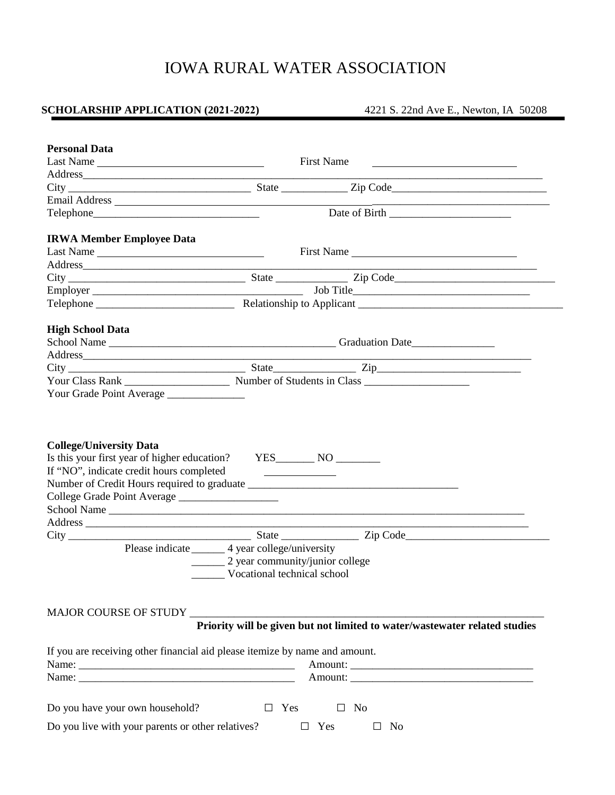# IOWA RURAL WATER ASSOCIATION

## **SCHOLARSHIP APPLICATION (2021-2022)** 4221 S. 22nd Ave E., Newton, IA 50208

| <b>Personal Data</b>                              |                                                                                                                       |
|---------------------------------------------------|-----------------------------------------------------------------------------------------------------------------------|
| Last Name                                         | First Name                                                                                                            |
|                                                   |                                                                                                                       |
|                                                   |                                                                                                                       |
|                                                   |                                                                                                                       |
|                                                   |                                                                                                                       |
| <b>IRWA Member Employee Data</b>                  |                                                                                                                       |
| Last Name                                         | First Name                                                                                                            |
|                                                   | <u> 1989 - Johann Harry Harry Harry Harry Harry Harry Harry Harry Harry Harry Harry Harry Harry Harry Harry Harry</u> |
|                                                   |                                                                                                                       |
|                                                   |                                                                                                                       |
|                                                   |                                                                                                                       |
| <b>High School Data</b>                           |                                                                                                                       |
|                                                   |                                                                                                                       |
|                                                   |                                                                                                                       |
|                                                   |                                                                                                                       |
|                                                   |                                                                                                                       |
| Your Grade Point Average                          |                                                                                                                       |
| College Grade Point Average                       |                                                                                                                       |
| Address                                           |                                                                                                                       |
|                                                   |                                                                                                                       |
|                                                   | Please indicate _______ 4 year college/university                                                                     |
|                                                   | __________ 2 year community/junior college                                                                            |
|                                                   | Vocational technical school                                                                                           |
|                                                   |                                                                                                                       |
| <b>MAJOR COURSE OF STUDY</b>                      | Priority will be given but not limited to water/wastewater related studies                                            |
|                                                   |                                                                                                                       |
|                                                   | If you are receiving other financial aid please itemize by name and amount.                                           |
|                                                   |                                                                                                                       |
|                                                   |                                                                                                                       |
| Do you have your own household?                   | $\Box$ Yes<br>No<br>$\Box$                                                                                            |
| Do you live with your parents or other relatives? | $\Box$ Yes<br>No<br>$\mathbf{r}$                                                                                      |